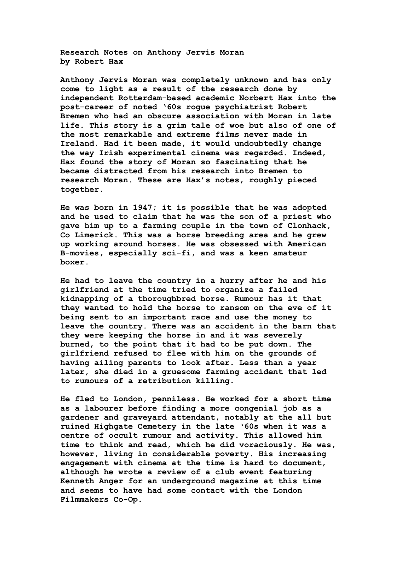**Research Notes on Anthony Jervis Moran by Robert Hax**

**Anthony Jervis Moran was completely unknown and has only come to light as a result of the research done by independent Rotterdam-based academic Norbert Hax into the post-career of noted '60s rogue psychiatrist Robert Bremen who had an obscure association with Moran in late life. This story is a grim tale of woe but also of one of the most remarkable and extreme films never made in Ireland. Had it been made, it would undoubtedly change the way Irish experimental cinema was regarded. Indeed, Hax found the story of Moran so fascinating that he became distracted from his research into Bremen to research Moran. These are Hax's notes, roughly pieced together.**

**He was born in 1947; it is possible that he was adopted and he used to claim that he was the son of a priest who gave him up to a farming couple in the town of Clonhack, Co Limerick. This was a horse breeding area and he grew up working around horses. He was obsessed with American B-movies, especially sci-fi, and was a keen amateur boxer.** 

**He had to leave the country in a hurry after he and his girlfriend at the time tried to organize a failed kidnapping of a thoroughbred horse. Rumour has it that they wanted to hold the horse to ransom on the eve of it being sent to an important race and use the money to leave the country. There was an accident in the barn that they were keeping the horse in and it was severely burned, to the point that it had to be put down. The girlfriend refused to flee with him on the grounds of having ailing parents to look after. Less than a year later, she died in a gruesome farming accident that led to rumours of a retribution killing.**

**He fled to London, penniless. He worked for a short time as a labourer before finding a more congenial job as a gardener and graveyard attendant, notably at the all but ruined Highgate Cemetery in the late '60s when it was a centre of occult rumour and activity. This allowed him time to think and read, which he did voraciously. He was, however, living in considerable poverty. His increasing engagement with cinema at the time is hard to document, although he wrote a review of a club event featuring Kenneth Anger for an underground magazine at this time and seems to have had some contact with the London Filmmakers Co-Op.**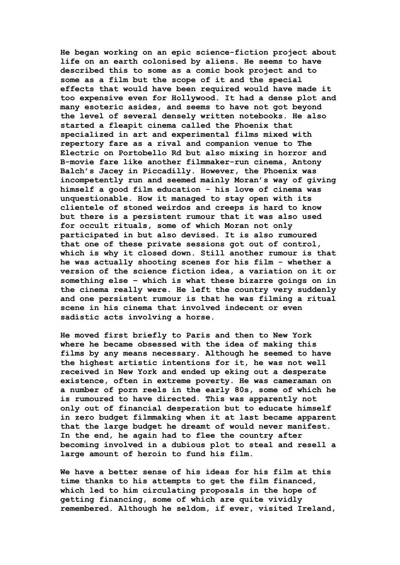**He began working on an epic science-fiction project about life on an earth colonised by aliens. He seems to have described this to some as a comic book project and to some as a film but the scope of it and the special effects that would have been required would have made it too expensive even for Hollywood. It had a dense plot and many esoteric asides, and seems to have not got beyond the level of several densely written notebooks. He also started a fleapit cinema called the Phoenix that specialized in art and experimental films mixed with repertory fare as a rival and companion venue to The Electric on Portobello Rd but also mixing in horror and B-movie fare like another filmmaker-run cinema, Antony Balch's Jacey in Piccadilly. However, the Phoenix was incompetently run and seemed mainly Moran's way of giving himself a good film education - his love of cinema was unquestionable. How it managed to stay open with its clientele of stoned weirdos and creeps is hard to know but there is a persistent rumour that it was also used for occult rituals, some of which Moran not only participated in but also devised. It is also rumoured that one of these private sessions got out of control, which is why it closed down. Still another rumour is that he was actually shooting scenes for his film - whether a version of the science fiction idea, a variation on it or something else – which is what these bizarre goings on in the cinema really were. He left the country very suddenly and one persistent rumour is that he was filming a ritual scene in his cinema that involved indecent or even sadistic acts involving a horse.** 

**He moved first briefly to Paris and then to New York where he became obsessed with the idea of making this films by any means necessary. Although he seemed to have the highest artistic intentions for it, he was not well received in New York and ended up eking out a desperate existence, often in extreme poverty. He was cameraman on a number of porn reels in the early 80s, some of which he is rumoured to have directed. This was apparently not only out of financial desperation but to educate himself in zero budget filmmaking when it at last became apparent that the large budget he dreamt of would never manifest. In the end, he again had to flee the country after becoming involved in a dubious plot to steal and resell a large amount of heroin to fund his film.**

**We have a better sense of his ideas for his film at this time thanks to his attempts to get the film financed, which led to him circulating proposals in the hope of getting financing, some of which are quite vividly remembered. Although he seldom, if ever, visited Ireland,**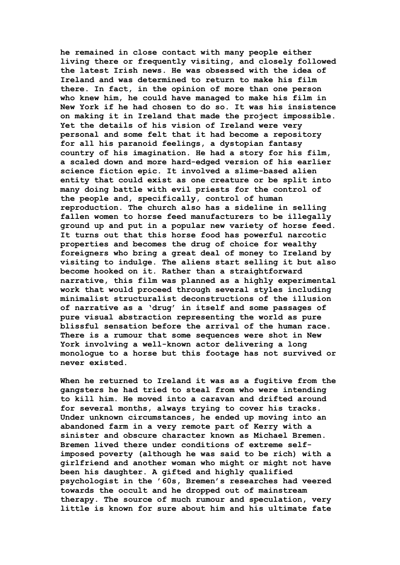**he remained in close contact with many people either living there or frequently visiting, and closely followed the latest Irish news. He was obsessed with the idea of Ireland and was determined to return to make his film there. In fact, in the opinion of more than one person who knew him, he could have managed to make his film in New York if he had chosen to do so. It was his insistence on making it in Ireland that made the project impossible. Yet the details of his vision of Ireland were very personal and some felt that it had become a repository for all his paranoid feelings, a dystopian fantasy country of his imagination. He had a story for his film, a scaled down and more hard-edged version of his earlier science fiction epic. It involved a slime-based alien entity that could exist as one creature or be split into many doing battle with evil priests for the control of the people and, specifically, control of human reproduction. The church also has a sideline in selling fallen women to horse feed manufacturers to be illegally ground up and put in a popular new variety of horse feed. It turns out that this horse food has powerful narcotic properties and becomes the drug of choice for wealthy foreigners who bring a great deal of money to Ireland by visiting to indulge. The aliens start selling it but also become hooked on it. Rather than a straightforward narrative, this film was planned as a highly experimental work that would proceed through several styles including minimalist structuralist deconstructions of the illusion of narrative as a 'drug' in itself and some passages of pure visual abstraction representing the world as pure blissful sensation before the arrival of the human race. There is a rumour that some sequences were shot in New York involving a well-known actor delivering a long monologue to a horse but this footage has not survived or never existed.**

**When he returned to Ireland it was as a fugitive from the gangsters he had tried to steal from who were intending to kill him. He moved into a caravan and drifted around for several months, always trying to cover his tracks. Under unknown circumstances, he ended up moving into an abandoned farm in a very remote part of Kerry with a sinister and obscure character known as Michael Bremen. Bremen lived there under conditions of extreme selfimposed poverty (although he was said to be rich) with a girlfriend and another woman who might or might not have been his daughter. A gifted and highly qualified psychologist in the '60s, Bremen's researches had veered towards the occult and he dropped out of mainstream therapy. The source of much rumour and speculation, very little is known for sure about him and his ultimate fate**